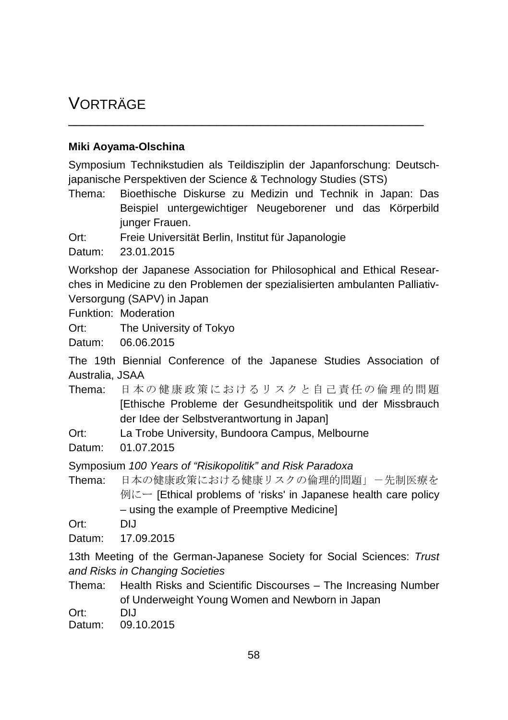# VORTRÄGE

## **Miki Aoyama-Olschina**

Symposium Technikstudien als Teildisziplin der Japanforschung: Deutschjapanische Perspektiven der Science & Technology Studies (STS)

\_\_\_\_\_\_\_\_\_\_\_\_\_\_\_\_\_\_\_\_\_\_\_\_\_\_\_\_\_\_\_\_\_\_\_\_\_\_\_\_\_\_\_\_\_\_\_\_

Thema: Bioethische Diskurse zu Medizin und Technik in Japan: Das Beispiel untergewichtiger Neugeborener und das Körperbild junger Frauen.

Ort: Freie Universität Berlin, Institut für Japanologie

Datum: 23.01.2015

Workshop der Japanese Association for Philosophical and Ethical Researches in Medicine zu den Problemen der spezialisierten ambulanten Palliativ-Versorgung (SAPV) in Japan

Funktion: Moderation

Ort: The University of Tokyo

Datum: 06.06.2015

The 19th Biennial Conference of the Japanese Studies Association of Australia, JSAA

Thema: 日本の健康政策におけるリスクと自己責任の倫理的問題 [Ethische Probleme der Gesundheitspolitik und der Missbrauch der Idee der Selbstverantwortung in Japan]

Ort: La Trobe University, Bundoora Campus, Melbourne

Datum: 01.07.2015

Symposium *100 Years of "Risikopolitik" and Risk Paradoxa*

Thema: 日本の健康政策における健康リスクの倫理的問題」-先制医療を  $\emptyset$ にー [Ethical problems of 'risks' in Japanese health care policy – using the example of Preemptive Medicine]

Ort: DIJ

Datum: 17.09.2015

13th Meeting of the German-Japanese Society for Social Sciences: *Trust and Risks in Changing Societies*

Thema: Health Risks and Scientific Discourses – The Increasing Number of Underweight Young Women and Newborn in Japan

Ort: DIJ

Datum: 09.10.2015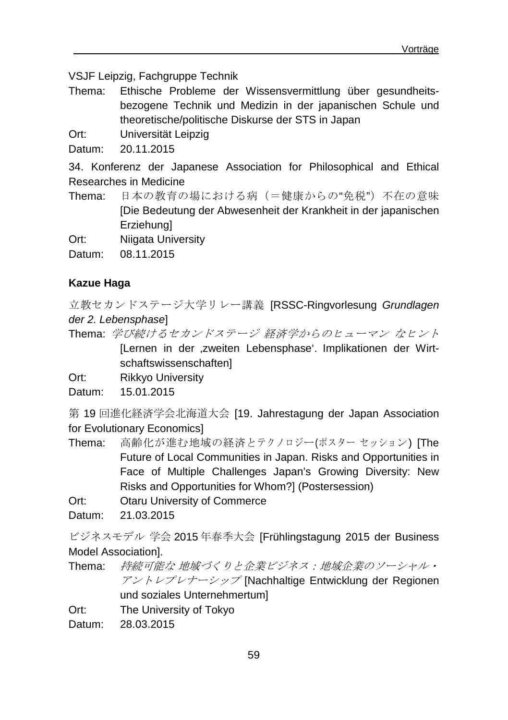VSJF Leipzig, Fachgruppe Technik

Thema: Ethische Probleme der Wissensvermittlung über gesundheitsbezogene Technik und Medizin in der japanischen Schule und theoretische/politische Diskurse der STS in Japan

Ort: Universität Leipzig

Datum: 20.11.2015

34. Konferenz der Japanese Association for Philosophical and Ethical Researches in Medicine

- Thema: 日本の教育の場における病(=健康からの"免税")不在の意味 [Die Bedeutung der Abwesenheit der Krankheit in der japanischen **Erziehungl**
- Ort: Niigata University
- Datum: 08.11.2015

## **Kazue Haga**

立教セカンドステージ大学リレー講義 [RSSC-Ringvorlesung *Grundlagen der 2. Lebensphase*]

Thema: 学び続けるセカンドステージ 経済学からのヒューマン なヒント [Lernen in der zweiten Lebensphase'. Implikationen der Wirtschaftswissenschaften]

Ort: Rikkyo University

Datum: 15.01.2015

第 19 回進化経済学会北海道大会 [19. Jahrestagung der Japan Association for Evolutionary Economics]

- Thema: 高齢化が進む地域の経済とテクノロジー(ポスター セッション) [The Future of Local Communities in Japan. Risks and Opportunities in Face of Multiple Challenges Japan's Growing Diversity: New Risks and Opportunities for Whom?] (Postersession)
- Ort: Otaru University of Commerce

Datum: 21.03.2015

ビジネスモデル 学会 2015 年春季大会 [Frühlingstagung 2015 der Business Model Association].

Thema: 持続可能な 地域づくりと企業ビジネス:地域企業のソーシャル・ アントレプレナーシップ [Nachhaltige Entwicklung der Regionen und soziales Unternehmertum]

Ort: The University of Tokyo

Datum: 28.03.2015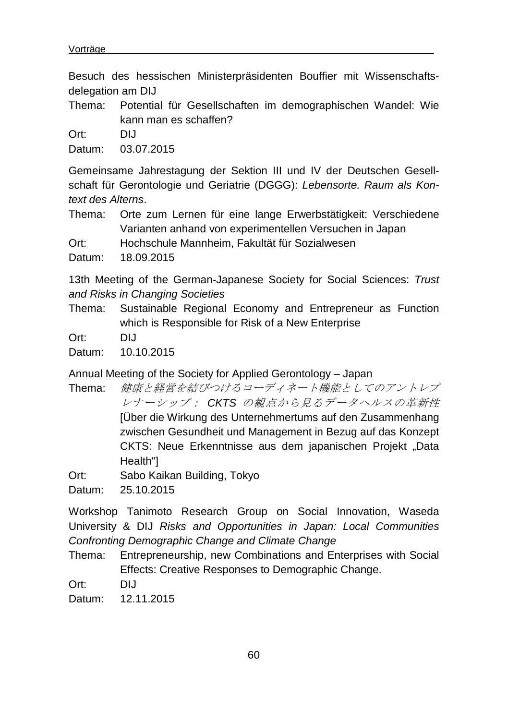Besuch des hessischen Ministerpräsidenten Bouffier mit Wissenschaftsdelegation am DIJ

Thema: Potential für Gesellschaften im demographischen Wandel: Wie kann man es schaffen?

Ort: DIJ

Datum: 03.07.2015

Gemeinsame Jahrestagung der Sektion III und IV der Deutschen Gesellschaft für Gerontologie und Geriatrie (DGGG): *Lebensorte. Raum als Kontext des Alterns*.

Thema: Orte zum Lernen für eine lange Erwerbstätigkeit: Verschiedene Varianten anhand von experimentellen Versuchen in Japan

Ort: Hochschule Mannheim, Fakultät für Sozialwesen

Datum: 18.09.2015

13th Meeting of the German-Japanese Society for Social Sciences: *Trust and Risks in Changing Societies*

- Thema: Sustainable Regional Economy and Entrepreneur as Function which is Responsible for Risk of a New Enterprise
- Ort: DIJ

Datum: 10.10.2015

Annual Meeting of the Society for Applied Gerontology – Japan

Thema: 健康と経営を結びつけるコーディネート機能としてのアントレプ レナーシップ: *CKTS* の観点から見るデータヘルスの革新性 [Über die Wirkung des Unternehmertums auf den Zusammenhang zwischen Gesundheit und Management in Bezug auf das Konzept CKTS: Neue Erkenntnisse aus dem japanischen Projekt "Data Health"]

Ort: Sabo Kaikan Building, Tokyo

Datum: 25.10.2015

Workshop Tanimoto Research Group on Social Innovation, Waseda University & DIJ *Risks and Opportunities in Japan: Local Communities Confronting Demographic Change and Climate Change* 

Thema: Entrepreneurship, new Combinations and Enterprises with Social Effects: Creative Responses to Demographic Change.

Ort: DIJ

Datum: 12.11.2015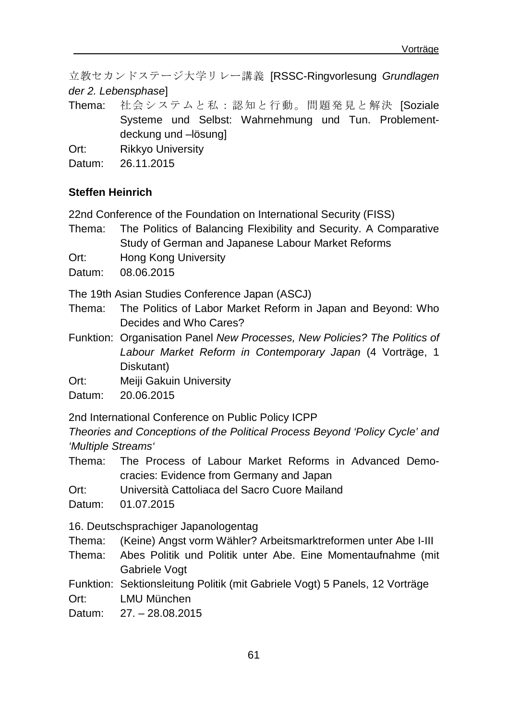立教セカンドステージ大学リレー講義 [RSSC-Ringvorlesung *Grundlagen der 2. Lebensphase*]

Thema: 社会システムと私:認知と行動。問題発見と解決 ISoziale Systeme und Selbst: Wahrnehmung und Tun. Problementdeckung und –lösung]

Ort: Rikkyo University

Datum: 26.11.2015

#### **Steffen Heinrich**

22nd Conference of the Foundation on International Security (FISS)

- Thema: The Politics of Balancing Flexibility and Security. A Comparative Study of German and Japanese Labour Market Reforms
- Ort: Hong Kong University

Datum: 08.06.2015

The 19th Asian Studies Conference Japan (ASCJ)

Thema: The Politics of Labor Market Reform in Japan and Beyond: Who Decides and Who Cares?

Funktion: Organisation Panel *New Processes, New Policies? The Politics of Labour Market Reform in Contemporary Japan* (4 Vorträge, 1 Diskutant)

Ort: Meiji Gakuin University

Datum: 20.06.2015

2nd International Conference on Public Policy ICPP

*Theories and Conceptions of the Political Process Beyond 'Policy Cycle' and 'Multiple Streams'*

Thema: The Process of Labour Market Reforms in Advanced Democracies: Evidence from Germany and Japan

Ort: Università Cattoliaca del Sacro Cuore Mailand

Datum: 01.07.2015

16. Deutschsprachiger Japanologentag

Thema: (Keine) Angst vorm Wähler? Arbeitsmarktreformen unter Abe I-III

Thema: Abes Politik und Politik unter Abe. Eine Momentaufnahme (mit Gabriele Vogt

Funktion: Sektionsleitung Politik (mit Gabriele Vogt) 5 Panels, 12 Vorträge Ort: LMU München

Datum: 27. – 28.08.2015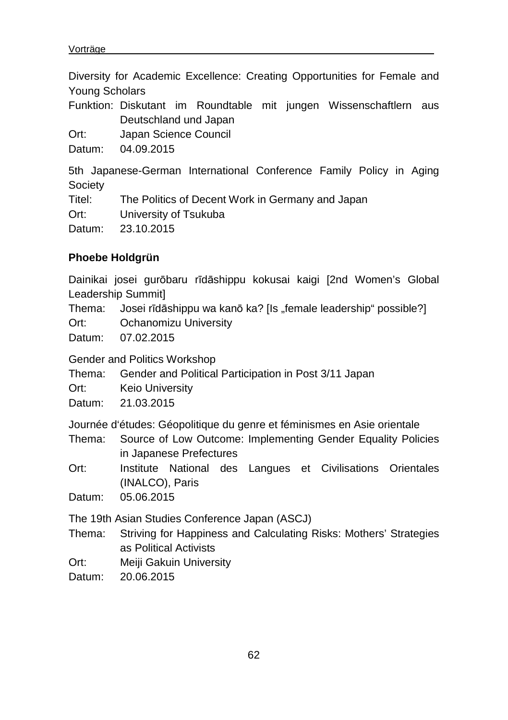Diversity for Academic Excellence: Creating Opportunities for Female and Young Scholars Funktion: Diskutant im Roundtable mit jungen Wissenschaftlern aus Deutschland und Japan Ort: Japan Science Council Datum: 04.09.2015 5th Japanese-German International Conference Family Policy in Aging Society Titel: The Politics of Decent Work in Germany and Japan Ort: University of Tsukuba Datum: 23.10.2015

## **Phoebe Holdgrün**

Dainikai josei gurōbaru rīdāshippu kokusai kaigi [2nd Women's Global Leadership Summit]

Thema: Josei rīdāshippu wa kanō ka? [Is "female leadership" possible?]

Ort: Ochanomizu University

Datum: 07.02.2015

Gender and Politics Workshop

Thema: Gender and Political Participation in Post 3/11 Japan

Ort: Keio University

Datum: 21.03.2015

Journée d'études: Géopolitique du genre et féminismes en Asie orientale

- Thema: Source of Low Outcome: Implementing Gender Equality Policies in Japanese Prefectures
- Ort: Institute National des Langues et Civilisations Orientales (INALCO), Paris

Datum: 05.06.2015

The 19th Asian Studies Conference Japan (ASCJ)

- Thema: Striving for Happiness and Calculating Risks: Mothers' Strategies as Political Activists
- Ort: Meiji Gakuin University

Datum: 20.06.2015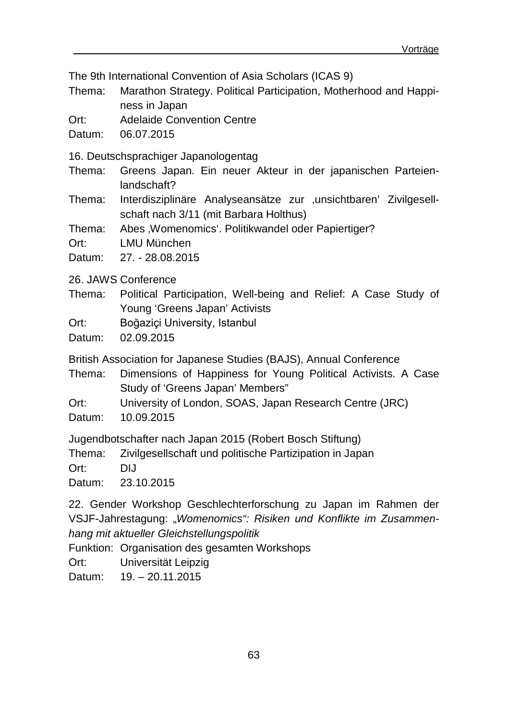The 9th International Convention of Asia Scholars (ICAS 9)

Thema: Marathon Strategy. Political Participation, Motherhood and Happiness in Japan

Ort: Adelaide Convention Centre

Datum: 06.07.2015

16. Deutschsprachiger Japanologentag

Thema: Greens Japan. Ein neuer Akteur in der japanischen Parteienlandschaft?

Thema: Interdisziplinäre Analyseansätze zur "unsichtbaren' Zivilgesellschaft nach 3/11 (mit Barbara Holthus)

Thema: Abes , Womenomics'. Politikwandel oder Papiertiger?

Ort: LMU München

Datum: 27. - 28.08.2015

26. JAWS Conference

- Thema: Political Participation, Well-being and Relief: A Case Study of Young 'Greens Japan' Activists
- Ort: Boğaziçi University, Istanbul

Datum: 02.09.2015

British Association for Japanese Studies (BAJS), Annual Conference

Thema: Dimensions of Happiness for Young Political Activists. A Case Study of 'Greens Japan' Members"

Ort: University of London, SOAS, Japan Research Centre (JRC)

Datum: 10.09.2015

Jugendbotschafter nach Japan 2015 (Robert Bosch Stiftung)

Thema: Zivilgesellschaft und politische Partizipation in Japan

Ort: DIJ

Datum: 23.10.2015

22. Gender Workshop Geschlechterforschung zu Japan im Rahmen der VSJF-Jahrestagung: "Womenomics": Risiken und Konflikte im Zusammen*hang mit aktueller Gleichstellungspolitik*

Funktion: Organisation des gesamten Workshops

Ort: Universität Leipzig

Datum: 19. - 20.11.2015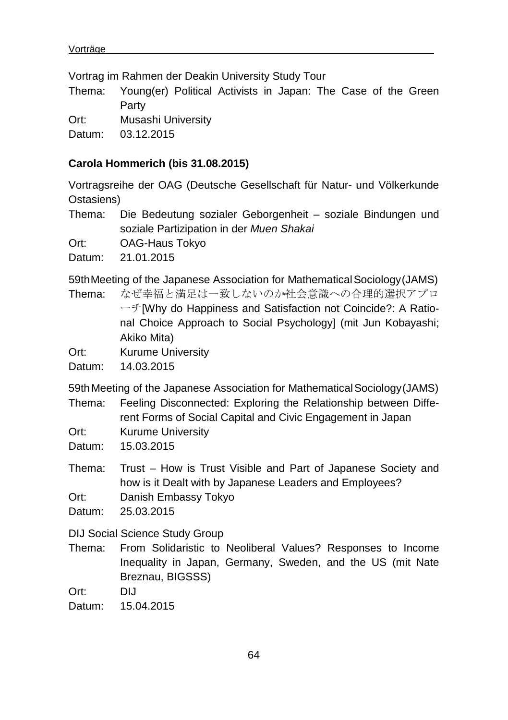Vortrag im Rahmen der Deakin University Study Tour

Thema: Young(er) Political Activists in Japan: The Case of the Green Party

Ort: Musashi University

Datum: 03.12.2015

#### **Carola Hommerich (bis 31.08.2015)**

Vortragsreihe der OAG (Deutsche Gesellschaft für Natur- und Völkerkunde Ostasiens)

Thema: Die Bedeutung sozialer Geborgenheit – soziale Bindungen und soziale Partizipation in der *Muen Shakai*

Ort: OAG-Haus Tokyo

Datum: 21.01.2015

59thMeeting of the Japanese Association for MathematicalSociology(JAMS)

- Thema: なぜ幸福と満足は一致しないのか社会意識への合理的選択アプロ ーチ[Why do Happiness and Satisfaction not Coincide?: A Rational Choice Approach to Social Psychology] (mit Jun Kobayashi; Akiko Mita)
- Ort: Kurume University

Datum: 14.03.2015

59thMeeting of the Japanese Association for MathematicalSociology(JAMS)

Thema: Feeling Disconnected: Exploring the Relationship between Diffe-

- rent Forms of Social Capital and Civic Engagement in Japan
- Ort: Kurume University

Datum: 15.03.2015

Thema: Trust – How is Trust Visible and Part of Japanese Society and how is it Dealt with by Japanese Leaders and Employees?

Ort: Danish Embassy Tokyo

Datum: 25.03.2015

DIJ Social Science Study Group

Thema: From Solidaristic to Neoliberal Values? Responses to Income Inequality in Japan, Germany, Sweden, and the US (mit Nate Breznau, BIGSSS)

Ort: DIJ

Datum: 15.04.2015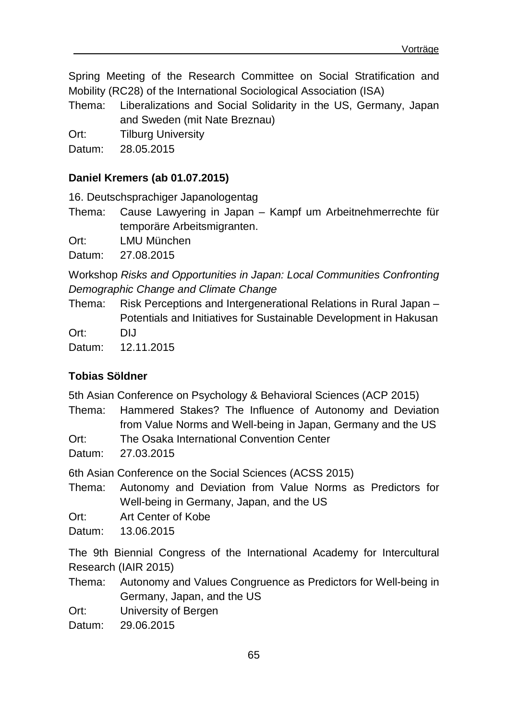Spring Meeting of the Research Committee on Social Stratification and Mobility (RC28) of the International Sociological Association (ISA)

Thema: Liberalizations and Social Solidarity in the US, Germany, Japan and Sweden (mit Nate Breznau)

Ort: Tilburg University

Datum: 28.05.2015

#### **Daniel Kremers (ab 01.07.2015)**

16. Deutschsprachiger Japanologentag

Thema: Cause Lawyering in Japan – Kampf um Arbeitnehmerrechte für temporäre Arbeitsmigranten.

Ort: LMU München

Datum: 27.08.2015

Workshop *Risks and Opportunities in Japan: Local Communities Confronting Demographic Change and Climate Change*

Thema: Risk Perceptions and Intergenerational Relations in Rural Japan – Potentials and Initiatives for Sustainable Development in Hakusan Ort: DIJ

Datum: 12.11.2015

# **Tobias Söldner**

5th Asian Conference on Psychology & Behavioral Sciences (ACP 2015)

Thema: Hammered Stakes? The Influence of Autonomy and Deviation from Value Norms and Well-being in Japan, Germany and the US

- Ort: The Osaka International Convention Center
- Datum: 27.03.2015

6th Asian Conference on the Social Sciences (ACSS 2015)

Thema: Autonomy and Deviation from Value Norms as Predictors for Well-being in Germany, Japan, and the US

Ort: Art Center of Kobe

Datum: 13.06.2015

The 9th Biennial Congress of the International Academy for Intercultural Research (IAIR 2015)

Thema: Autonomy and Values Congruence as Predictors for Well-being in Germany, Japan, and the US

Ort: University of Bergen

Datum: 29.06.2015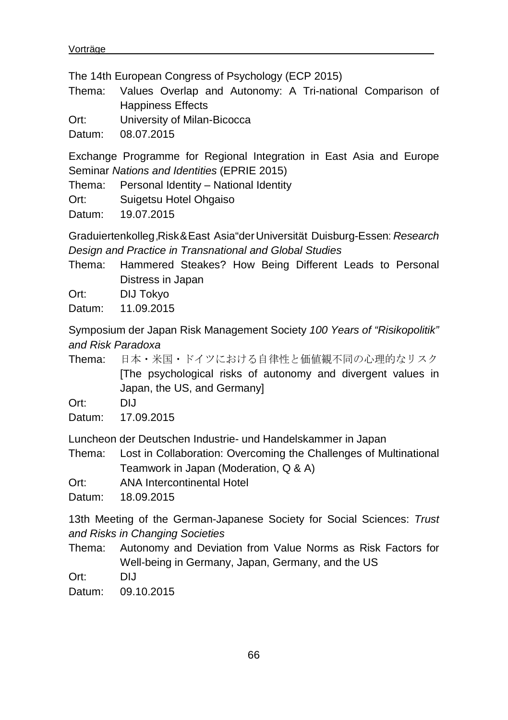The 14th European Congress of Psychology (ECP 2015)

Thema: Values Overlap and Autonomy: A Tri-national Comparison of Happiness Effects

Ort: University of Milan-Bicocca

Datum: 08.07.2015

Exchange Programme for Regional Integration in East Asia and Europe Seminar *Nations and Identities* (EPRIE 2015)

Thema: Personal Identity – National Identity

Ort: Suigetsu Hotel Ohgaiso

Datum: 19.07.2015

Graduiertenkolleg"Risk&East Asia"derUniversität Duisburg-Essen: *Research Design and Practice in Transnational and Global Studies*

Thema: Hammered Steakes? How Being Different Leads to Personal Distress in Japan

Ort: DIJ Tokyo

Datum: 11.09.2015

Symposium der Japan Risk Management Society *100 Years of "Risikopolitik" and Risk Paradoxa*

Thema: 日本・米国・ドイツにおける自律性と価値観不同の心理的なリスク [The psychological risks of autonomy and divergent values in Japan, the US, and Germany]

Ort: DIJ

Datum: 17.09.2015

Luncheon der Deutschen Industrie- und Handelskammer in Japan

Thema: Lost in Collaboration: Overcoming the Challenges of Multinational Teamwork in Japan (Moderation, Q & A)

Ort: ANA Intercontinental Hotel

Datum: 18.09.2015

13th Meeting of the German-Japanese Society for Social Sciences: *Trust and Risks in Changing Societies*

Thema: Autonomy and Deviation from Value Norms as Risk Factors for Well-being in Germany, Japan, Germany, and the US

Ort: DIJ

Datum: 09.10.2015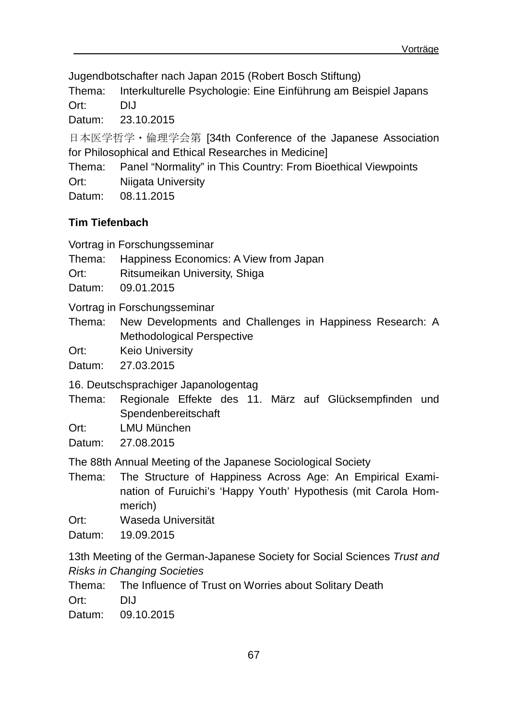Jugendbotschafter nach Japan 2015 (Robert Bosch Stiftung)

Thema: Interkulturelle Psychologie: Eine Einführung am Beispiel Japans Ort: DIJ

Datum: 23.10.2015

日本医学哲学・倫理学会第 [34th Conference of the Japanese Association for Philosophical and Ethical Researches in Medicine]

Thema: Panel "Normality" in This Country: From Bioethical Viewpoints

Ort: Niigata University

Datum: 08.11.2015

# **Tim Tiefenbach**

Vortrag in Forschungsseminar

Thema: Happiness Economics: A View from Japan

Ort: Ritsumeikan University, Shiga

Datum: 09.01.2015

Vortrag in Forschungsseminar

Thema: New Developments and Challenges in Happiness Research: A Methodological Perspective

Ort: Keio University

Datum: 27.03.2015

16. Deutschsprachiger Japanologentag

- Thema: Regionale Effekte des 11. März auf Glücksempfinden und Spendenbereitschaft
- Ort: LMU München

Datum: 27.08.2015

The 88th Annual Meeting of the Japanese Sociological Society

Thema: The Structure of Happiness Across Age: An Empirical Examination of Furuichi's 'Happy Youth' Hypothesis (mit Carola Hommerich)

Ort: Waseda Universität

Datum: 19.09.2015

13th Meeting of the German-Japanese Society for Social Sciences *Trust and Risks in Changing Societies*

Thema: The Influence of Trust on Worries about Solitary Death Ort: DIJ

Datum: 09.10.2015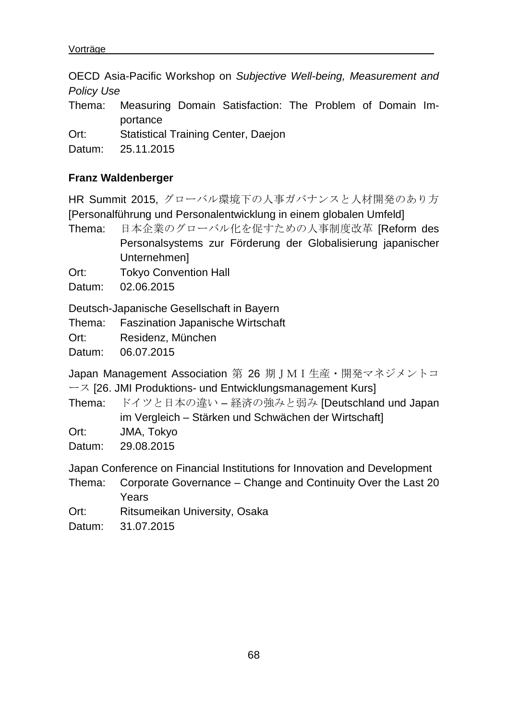OECD Asia-Pacific Workshop on *Subjective Well-being, Measurement and Policy Use*

- Thema: Measuring Domain Satisfaction: The Problem of Domain Importance
- Ort: Statistical Training Center, Daejon
- Datum: 25.11.2015

## **Franz Waldenberger**

HR Summit 2015, グローバル環境下の人事ガバナンスと人材開発のあり方 [Personalführung und Personalentwicklung in einem globalen Umfeld]

Thema: 日本企業のグローバル化を促すための人事制度改革 [Reform des Personalsystems zur Förderung der Globalisierung japanischer Unternehmen]

Ort: Tokyo Convention Hall

Datum: 02.06.2015

Deutsch-Japanische Gesellschaft in Bayern

- Thema: Faszination Japanische Wirtschaft
- Ort: Residenz, München

Datum: 06.07.2015

Japan Management Association 第 26 期 I M I 生産・開発マネジメントコ ース [26. JMI Produktions- und Entwicklungsmanagement Kurs]

Thema: ドイツと日本の違い – 経済の強みと弱み [Deutschland und Japan im Vergleich – Stärken und Schwächen der Wirtschaft]

Ort: JMA, Tokyo

Datum: 29.08.2015

Japan Conference on Financial Institutions for Innovation and Development

Thema: Corporate Governance – Change and Continuity Over the Last 20 Years

Ort: Ritsumeikan University, Osaka

Datum: 31.07.2015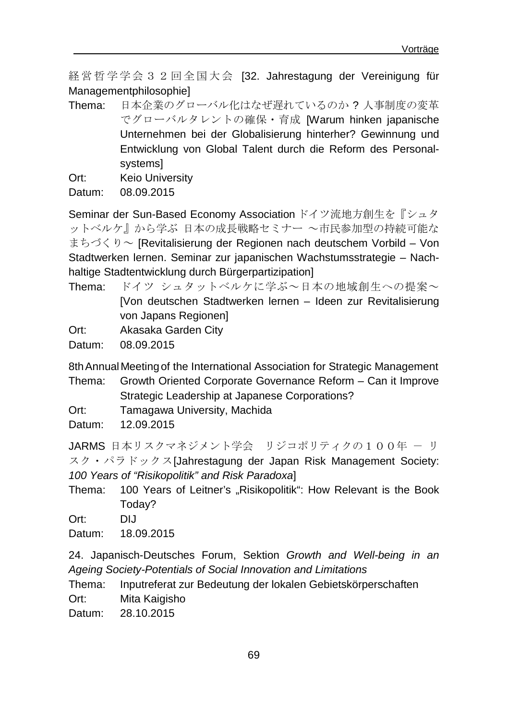経営哲学学会32回全国大会 [32. Jahrestagung der Vereinigung für Managementphilosophie]

- Thema: 日本企業のグローバル化はなぜ遅れているのか ? 人事制度の変革 でグローバルタレントの確保・育成 [Warum hinken japanische Unternehmen bei der Globalisierung hinterher? Gewinnung und Entwicklung von Global Talent durch die Reform des Personalsystems]
- Ort: Keio University

Datum: 08.09.2015

Seminar der Sun-Based Economy Association ドイツ流地方創生を『シュタ ットベルケ』から学ぶ 日本の成長戦略セミナー ~市民参加型の持続可能な まちづくり~ [Revitalisierung der Regionen nach deutschem Vorbild – Von Stadtwerken lernen. Seminar zur japanischen Wachstumsstrategie – Nachhaltige Stadtentwicklung durch Bürgerpartizipation]

- Thema: ドイツ シュタットベルケに学ぶ~日本の地域創生への提案~ [Von deutschen Stadtwerken lernen – Ideen zur Revitalisierung von Japans Regionen]
- Ort: Akasaka Garden City
- Datum: 08.09.2015

8th Annual Meeting of the International Association for Strategic Management

- Thema: Growth Oriented Corporate Governance Reform Can it Improve Strategic Leadership at Japanese Corporations?
- Ort: Tamagawa University, Machida
- Datum: 12.09.2015

JARMS 日本リスクマネジメント学会 リジコポリティクの100年 - リ スク・パラドックス[Jahrestagung der Japan Risk Management Society: *100 Years of "Risikopolitik" and Risk Paradoxa*]

- Thema: 100 Years of Leitner's "Risikopolitik": How Relevant is the Book Today?
- Ort: DIJ

Datum: 18.09.2015

24. Japanisch-Deutsches Forum, Sektion *Growth and Well-being in an Ageing Society-Potentials of Social Innovation and Limitations*

Thema: Inputreferat zur Bedeutung der lokalen Gebietskörperschaften Ort: Mita Kaigisho

Datum: 28.10.2015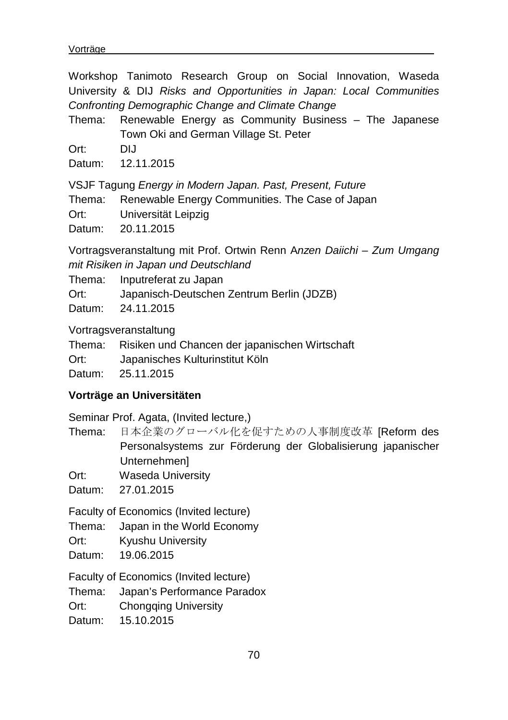Workshop Tanimoto Research Group on Social Innovation, Waseda University & DIJ *Risks and Opportunities in Japan: Local Communities Confronting Demographic Change and Climate Change* 

Thema: Renewable Energy as Community Business – The Japanese Town Oki and German Village St. Peter

Ort: DIJ

Datum: 12.11.2015

VSJF Tagung *Energy in Modern Japan. Past, Present, Future*

Thema: Renewable Energy Communities. The Case of Japan

Ort: Universität Leipzig

Datum: 20.11.2015

Vortragsveranstaltung mit Prof. Ortwin Renn A*nzen Daiichi – Zum Umgang mit Risiken in Japan und Deutschland*

Thema: Inputreferat zu Japan

Ort: Japanisch-Deutschen Zentrum Berlin (JDZB)

Datum: 24.11.2015

Vortragsveranstaltung

Thema: Risiken und Chancen der japanischen Wirtschaft

Ort: Japanisches Kulturinstitut Köln

Datum: 25.11.2015

#### **Vorträge an Universitäten**

Seminar Prof. Agata, (Invited lecture,)

Thema: 日本企業のグローバル化を促すための人事制度改革 [Reform des Personalsystems zur Förderung der Globalisierung japanischer Unternehmen]

Ort: Waseda University

Datum: 27.01.2015

Faculty of Economics (Invited lecture)

Thema: Japan in the World Economy

Ort: Kyushu University

Datum: 19.06.2015

Faculty of Economics (Invited lecture)

Thema: Japan's Performance Paradox

Ort: Chongqing University

Datum: 15.10.2015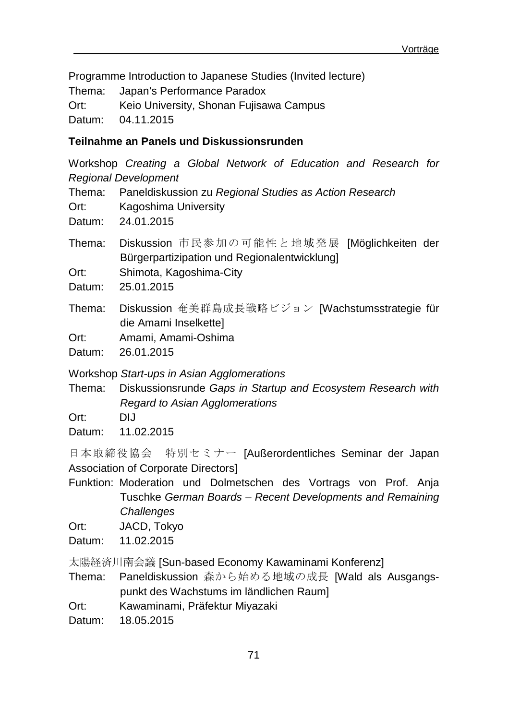Programme Introduction to Japanese Studies (Invited lecture) Thema: Japan's Performance Paradox Ort: Keio University, Shonan Fujisawa Campus Datum: 04.11.2015

## **Teilnahme an Panels und Diskussionsrunden**

Workshop *Creating a Global Network of Education and Research for Regional Development*

Thema: Paneldiskussion zu *Regional Studies as Action Research*

Ort: Kagoshima University

Datum: 24.01.2015

Thema: Diskussion 市民参加の可能性と地域発展 [Möglichkeiten der Bürgerpartizipation und Regionalentwicklung]

Ort: Shimota, Kagoshima-City

Datum: 25.01.2015

Thema: Diskussion 奄美群島成長戦略ビジョン [Wachstumsstrategie für die Amami Inselkette]

Ort: Amami, Amami-Oshima

Datum: 26.01.2015

Workshop *Start-ups in Asian Agglomerations*

Thema: Diskussionsrunde *Gaps in Startup and Ecosystem Research with Regard to Asian Agglomerations*

Ort: DIJ

Datum: 11.02.2015

日本取締役協会 特別セミナー [Außerordentliches Seminar der Japan Association of Corporate Directors]

Funktion: Moderation und Dolmetschen des Vortrags von Prof. Anja Tuschke *German Boards – Recent Developments and Remaining Challenges*

Ort: JACD, Tokyo

Datum: 11.02.2015

太陽経済川南会議 [Sun-based Economy Kawaminami Konferenz]

Thema: Paneldiskussion 森から始める地域の成長 [Wald als Ausgangspunkt des Wachstums im ländlichen Raum]

Ort: Kawaminami, Präfektur Miyazaki

Datum: 18.05.2015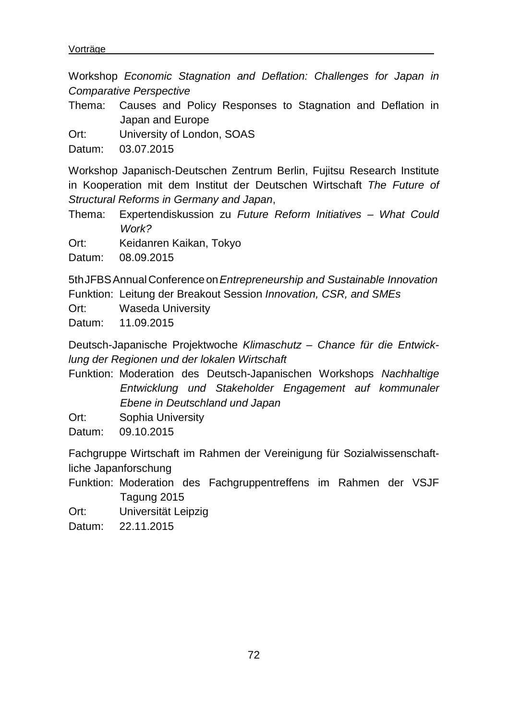Workshop *Economic Stagnation and Deflation: Challenges for Japan in Comparative Perspective*

Thema: Causes and Policy Responses to Stagnation and Deflation in Japan and Europe

Ort: University of London, SOAS

Datum: 03.07.2015

Workshop Japanisch-Deutschen Zentrum Berlin, Fujitsu Research Institute in Kooperation mit dem Institut der Deutschen Wirtschaft *The Future of Structural Reforms in Germany and Japan*,

Thema: Expertendiskussion zu *Future Reform Initiatives – What Could Work?*

Ort: Keidanren Kaikan, Tokyo

Datum: 08.09.2015

5thJFBSAnnualConferenceon*Entrepreneurship and Sustainable Innovation* Funktion: Leitung der Breakout Session *Innovation, CSR, and SMEs*

Ort: Waseda University

Datum: 11.09.2015

Deutsch-Japanische Projektwoche *Klimaschutz – Chance für die Entwicklung der Regionen und der lokalen Wirtschaft*

Funktion: Moderation des Deutsch-Japanischen Workshops *Nachhaltige Entwicklung und Stakeholder Engagement auf kommunaler Ebene in Deutschland und Japan*

Ort: Sophia University

Datum: 09.10.2015

Fachgruppe Wirtschaft im Rahmen der Vereinigung für Sozialwissenschaftliche Japanforschung

Funktion: Moderation des Fachgruppentreffens im Rahmen der VSJF Tagung 2015

Ort: Universität Leipzig

Datum: 22.11.2015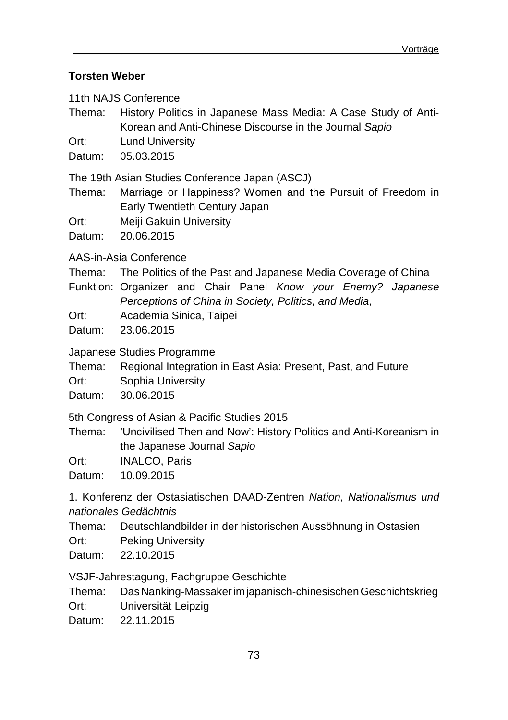## **Torsten Weber**

11th NAJS Conference

Thema: History Politics in Japanese Mass Media: A Case Study of Anti-Korean and Anti-Chinese Discourse in the Journal *Sapio*

Ort: Lund University

Datum: 05.03.2015

The 19th Asian Studies Conference Japan (ASCJ)

Thema: Marriage or Happiness? Women and the Pursuit of Freedom in Early Twentieth Century Japan

Ort: Meiji Gakuin University

Datum: 20.06.2015

AAS-in-Asia Conference

- Thema: The Politics of the Past and Japanese Media Coverage of China
- Funktion: Organizer and Chair Panel *Know your Enemy? Japanese Perceptions of China in Society, Politics, and Media*,
- Ort: Academia Sinica, Taipei

Datum: 23.06.2015

Japanese Studies Programme

Thema: Regional Integration in East Asia: Present, Past, and Future

Ort: Sophia University

Datum: 30.06.2015

5th Congress of Asian & Pacific Studies 2015

Thema: 'Uncivilised Then and Now': History Politics and Anti-Koreanism in the Japanese Journal *Sapio*

Ort: INALCO, Paris

Datum: 10.09.2015

1. Konferenz der Ostasiatischen DAAD-Zentren *Nation, Nationalismus und nationales Gedächtnis*

- Thema: Deutschlandbilder in der historischen Aussöhnung in Ostasien
- Ort: Peking University

Datum: 22.10.2015

VSJF-Jahrestagung, Fachgruppe Geschichte

Thema: DasNanking-Massakerim japanisch-chinesischenGeschichtskrieg Ort: Universität Leipzig

- 
- Datum: 22.11.2015